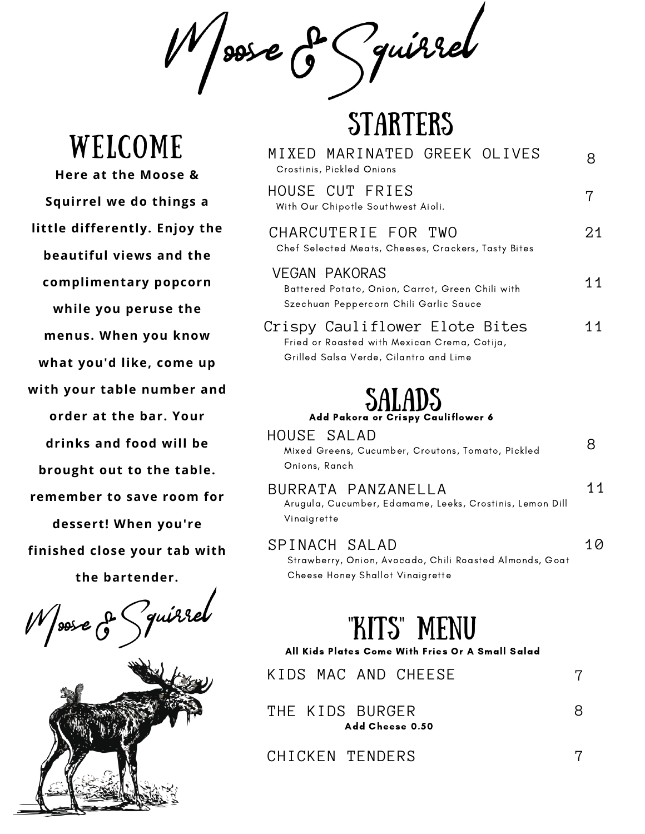& Guirrel sos e

**STARTERS** 

| MIXED MARINATED GREEK OLIVES<br>Crostinis, Pickled Onions                                                                | 8  |
|--------------------------------------------------------------------------------------------------------------------------|----|
| HOUSE CUT FRIES<br>With Our Chipotle Southwest Aioli.                                                                    | 7  |
| CHARCUTERIE FOR TWO<br>Chef Selected Meats, Cheeses, Crackers, Tasty Bites                                               | 21 |
| <b>VEGAN PAKORAS</b><br>Battered Potato, Onion, Carrot, Green Chili with<br>Szechuan Peppercorn Chili Garlic Sauce       | 11 |
| Crispy Cauliflower Elote Bites<br>Fried or Roasted with Mexican Crema, Cotija,<br>Grilled Salsa Verde, Cilantro and Lime | 11 |
| <b>SALADS</b><br>Add Pakora or Crispy Cauliflower 6<br>HOUSE SALAD                                                       |    |
| Mixed Greens, Cucumber, Croutons, Tomato, Pickled<br>Onions, Ranch                                                       | 8  |
| BURRATA PANZANELLA<br>Arugula, Cucumber, Edamame, Leeks, Crostinis, Lemon Dill<br>Vinaigrette                            | 11 |
| SPINACH SALAD<br>Strawberry, Onion, Avocado, Chili Roasted Almonds, Goat<br>Cheese Honey Shallot Vinaigrette             | 10 |
| "KITS" MENU<br>All Kids Plates Come With Fries Or A Small Salad                                                          |    |
| KIDS MAC AND CHEESE                                                                                                      | 7  |
| THE KIDS BURGER<br>Add Cheese 0.50                                                                                       | 8  |

CHICKEN TENDERS

7

Welcome

**Here at the Moose & Squirrel we do things a little differently. Enjoy the beautiful views and the complimentary popcorn while you peruse the menus. When you know what you'd like, come up with your table number and order at the bar. Your drinks and food will be brought out to the table. remember to save room for dessert! When you're finished close your tab with the bartender.**

Zquirrel